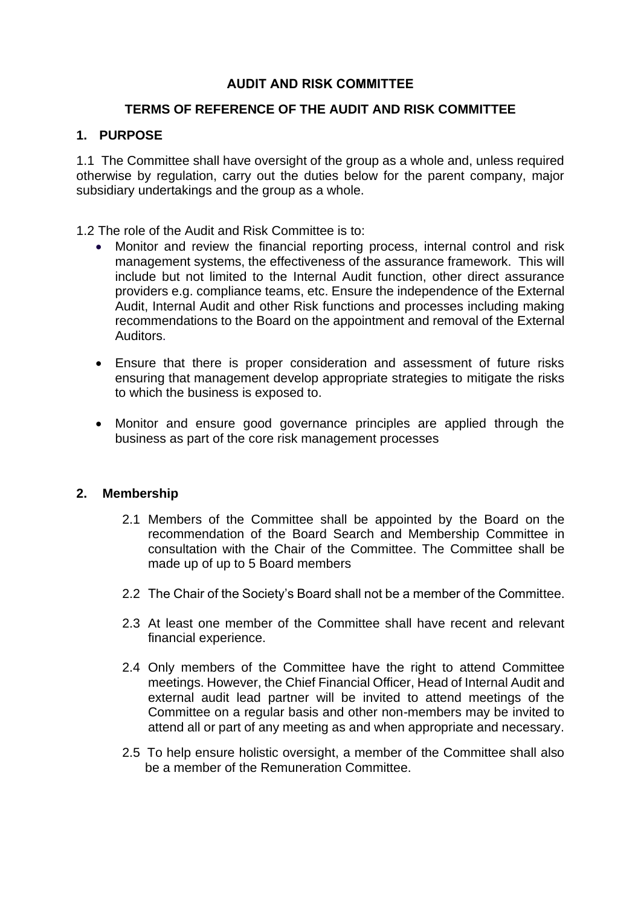## **AUDIT AND RISK COMMITTEE**

## **TERMS OF REFERENCE OF THE AUDIT AND RISK COMMITTEE**

# **1. PURPOSE**

1.1 The Committee shall have oversight of the group as a whole and, unless required otherwise by regulation, carry out the duties below for the parent company, major subsidiary undertakings and the group as a whole.

1.2 The role of the Audit and Risk Committee is to:

- Monitor and review the financial reporting process, internal control and risk management systems, the effectiveness of the assurance framework. This will include but not limited to the Internal Audit function, other direct assurance providers e.g. compliance teams, etc. Ensure the independence of the External Audit, Internal Audit and other Risk functions and processes including making recommendations to the Board on the appointment and removal of the External Auditors.
- Ensure that there is proper consideration and assessment of future risks ensuring that management develop appropriate strategies to mitigate the risks to which the business is exposed to.
- Monitor and ensure good governance principles are applied through the business as part of the core risk management processes

### **2. Membership**

- 2.1 Members of the Committee shall be appointed by the Board on the recommendation of the Board Search and Membership Committee in consultation with the Chair of the Committee. The Committee shall be made up of up to 5 Board members
- 2.2 The Chair of the Society's Board shall not be a member of the Committee.
- 2.3 At least one member of the Committee shall have recent and relevant financial experience.
- 2.4 Only members of the Committee have the right to attend Committee meetings. However, the Chief Financial Officer, Head of Internal Audit and external audit lead partner will be invited to attend meetings of the Committee on a regular basis and other non-members may be invited to attend all or part of any meeting as and when appropriate and necessary.
- 2.5 To help ensure holistic oversight, a member of the Committee shall also be a member of the Remuneration Committee.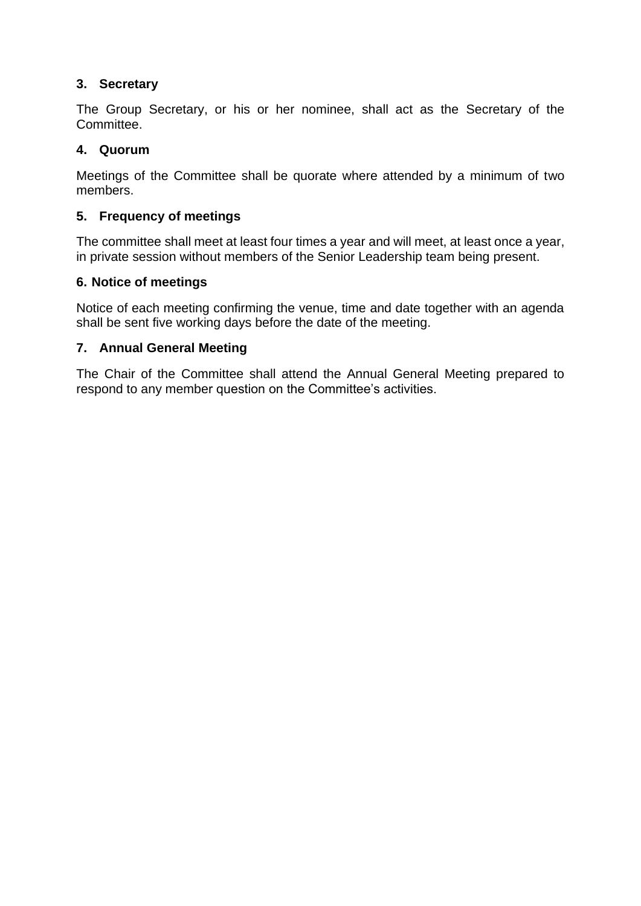# **3. Secretary**

The Group Secretary, or his or her nominee, shall act as the Secretary of the Committee.

## **4. Quorum**

Meetings of the Committee shall be quorate where attended by a minimum of two members.

## **5. Frequency of meetings**

The committee shall meet at least four times a year and will meet, at least once a year, in private session without members of the Senior Leadership team being present.

## **6. Notice of meetings**

Notice of each meeting confirming the venue, time and date together with an agenda shall be sent five working days before the date of the meeting.

## **7. Annual General Meeting**

The Chair of the Committee shall attend the Annual General Meeting prepared to respond to any member question on the Committee's activities.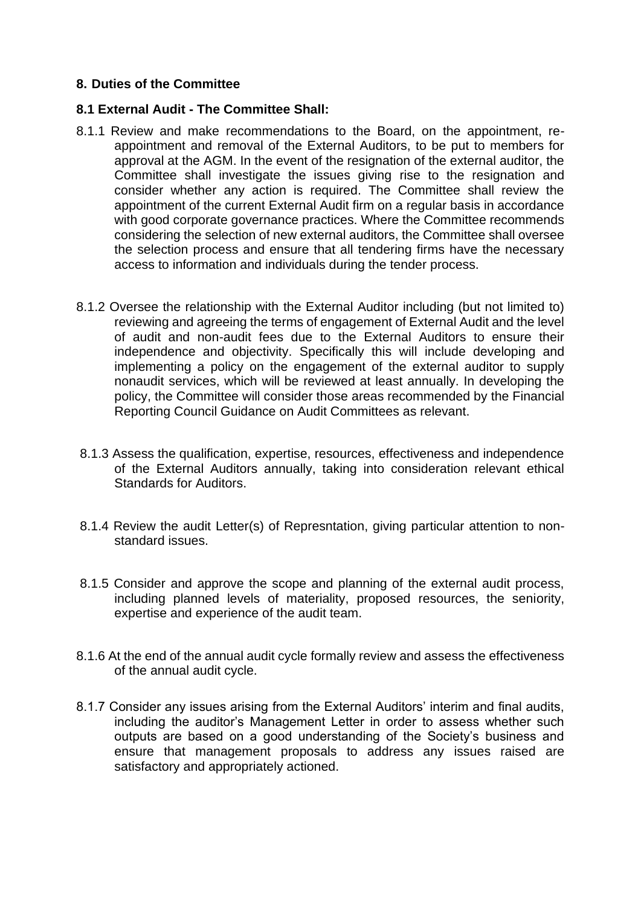### **8. Duties of the Committee**

#### **8.1 External Audit - The Committee Shall:**

- 8.1.1 Review and make recommendations to the Board, on the appointment, reappointment and removal of the External Auditors, to be put to members for approval at the AGM. In the event of the resignation of the external auditor, the Committee shall investigate the issues giving rise to the resignation and consider whether any action is required. The Committee shall review the appointment of the current External Audit firm on a regular basis in accordance with good corporate governance practices. Where the Committee recommends considering the selection of new external auditors, the Committee shall oversee the selection process and ensure that all tendering firms have the necessary access to information and individuals during the tender process.
- 8.1.2 Oversee the relationship with the External Auditor including (but not limited to) reviewing and agreeing the terms of engagement of External Audit and the level of audit and non-audit fees due to the External Auditors to ensure their independence and objectivity. Specifically this will include developing and implementing a policy on the engagement of the external auditor to supply nonaudit services, which will be reviewed at least annually. In developing the policy, the Committee will consider those areas recommended by the Financial Reporting Council Guidance on Audit Committees as relevant.
- 8.1.3 Assess the qualification, expertise, resources, effectiveness and independence of the External Auditors annually, taking into consideration relevant ethical Standards for Auditors.
- 8.1.4 Review the audit Letter(s) of Represntation, giving particular attention to nonstandard issues.
- 8.1.5 Consider and approve the scope and planning of the external audit process, including planned levels of materiality, proposed resources, the seniority, expertise and experience of the audit team.
- 8.1.6 At the end of the annual audit cycle formally review and assess the effectiveness of the annual audit cycle.
- 8.1.7 Consider any issues arising from the External Auditors' interim and final audits, including the auditor's Management Letter in order to assess whether such outputs are based on a good understanding of the Society's business and ensure that management proposals to address any issues raised are satisfactory and appropriately actioned.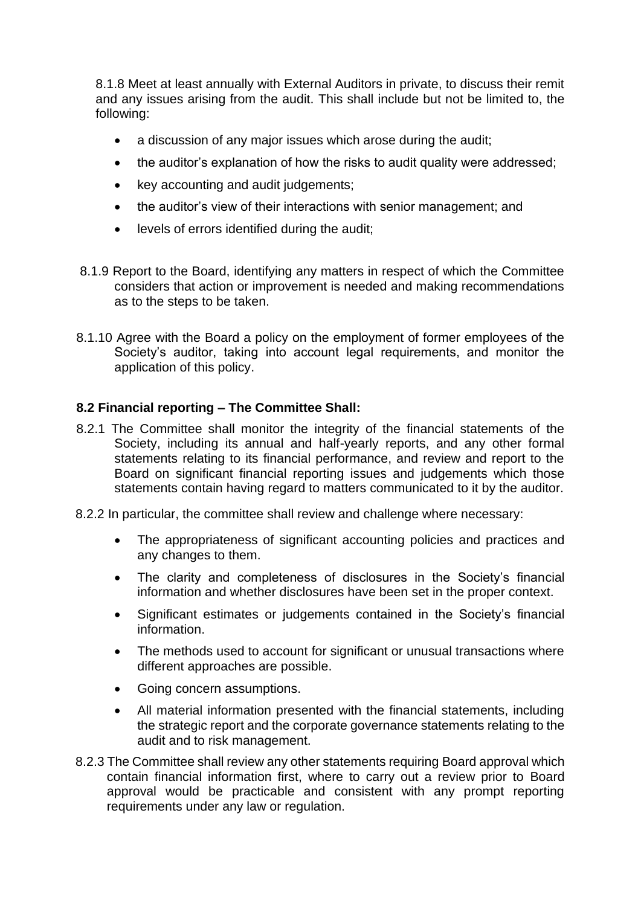8.1.8 Meet at least annually with External Auditors in private, to discuss their remit and any issues arising from the audit. This shall include but not be limited to, the following:

- a discussion of any major issues which arose during the audit:
- the auditor's explanation of how the risks to audit quality were addressed;
- key accounting and audit judgements:
- the auditor's view of their interactions with senior management; and
- levels of errors identified during the audit;
- 8.1.9 Report to the Board, identifying any matters in respect of which the Committee considers that action or improvement is needed and making recommendations as to the steps to be taken.
- 8.1.10 Agree with the Board a policy on the employment of former employees of the Society's auditor, taking into account legal requirements, and monitor the application of this policy.

## **8.2 Financial reporting – The Committee Shall:**

- 8.2.1 The Committee shall monitor the integrity of the financial statements of the Society, including its annual and half-yearly reports, and any other formal statements relating to its financial performance, and review and report to the Board on significant financial reporting issues and judgements which those statements contain having regard to matters communicated to it by the auditor.
- 8.2.2 In particular, the committee shall review and challenge where necessary:
	- The appropriateness of significant accounting policies and practices and any changes to them.
	- The clarity and completeness of disclosures in the Society's financial information and whether disclosures have been set in the proper context.
	- Significant estimates or judgements contained in the Society's financial information.
	- The methods used to account for significant or unusual transactions where different approaches are possible.
	- Going concern assumptions.
	- All material information presented with the financial statements, including the strategic report and the corporate governance statements relating to the audit and to risk management.
- 8.2.3 The Committee shall review any other statements requiring Board approval which contain financial information first, where to carry out a review prior to Board approval would be practicable and consistent with any prompt reporting requirements under any law or regulation.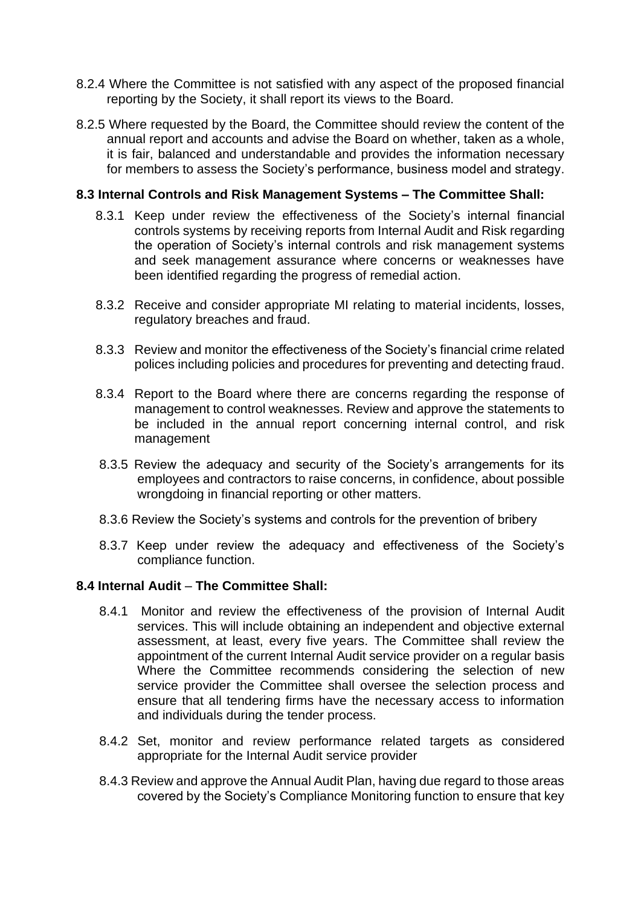- 8.2.4 Where the Committee is not satisfied with any aspect of the proposed financial reporting by the Society, it shall report its views to the Board.
- 8.2.5 Where requested by the Board, the Committee should review the content of the annual report and accounts and advise the Board on whether, taken as a whole, it is fair, balanced and understandable and provides the information necessary for members to assess the Society's performance, business model and strategy.

### **8.3 Internal Controls and Risk Management Systems – The Committee Shall:**

- 8.3.1 Keep under review the effectiveness of the Society's internal financial controls systems by receiving reports from Internal Audit and Risk regarding the operation of Society's internal controls and risk management systems and seek management assurance where concerns or weaknesses have been identified regarding the progress of remedial action.
- 8.3.2 Receive and consider appropriate MI relating to material incidents, losses, regulatory breaches and fraud.
- 8.3.3 Review and monitor the effectiveness of the Society's financial crime related polices including policies and procedures for preventing and detecting fraud.
- 8.3.4 Report to the Board where there are concerns regarding the response of management to control weaknesses. Review and approve the statements to be included in the annual report concerning internal control, and risk management
- 8.3.5 Review the adequacy and security of the Society's arrangements for its employees and contractors to raise concerns, in confidence, about possible wrongdoing in financial reporting or other matters.
- 8.3.6 Review the Society's systems and controls for the prevention of bribery
- 8.3.7 Keep under review the adequacy and effectiveness of the Society's compliance function.

### **8.4 Internal Audit** – **The Committee Shall:**

- 8.4.1 Monitor and review the effectiveness of the provision of Internal Audit services. This will include obtaining an independent and objective external assessment, at least, every five years. The Committee shall review the appointment of the current Internal Audit service provider on a regular basis Where the Committee recommends considering the selection of new service provider the Committee shall oversee the selection process and ensure that all tendering firms have the necessary access to information and individuals during the tender process.
- 8.4.2 Set, monitor and review performance related targets as considered appropriate for the Internal Audit service provider
- 8.4.3 Review and approve the Annual Audit Plan, having due regard to those areas covered by the Society's Compliance Monitoring function to ensure that key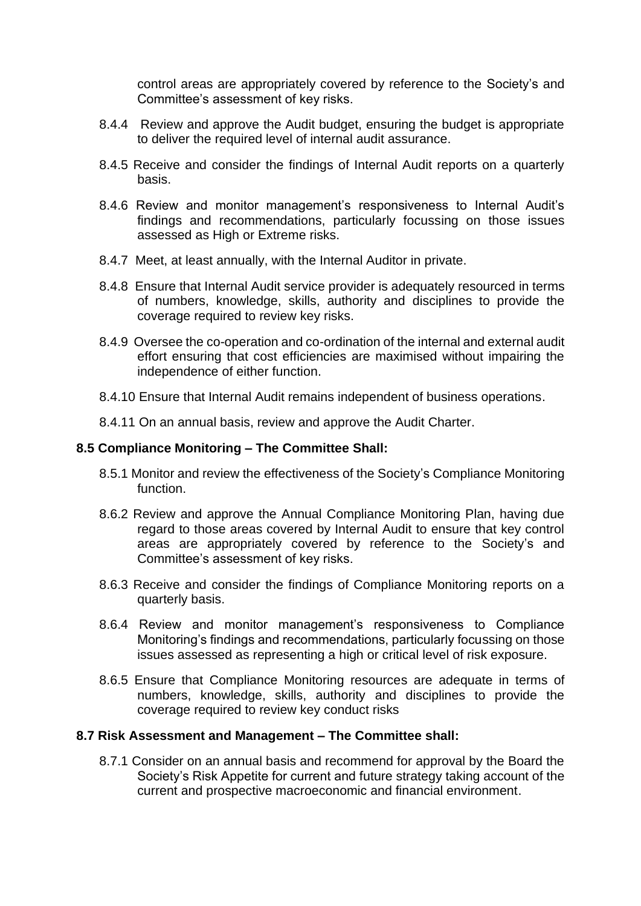control areas are appropriately covered by reference to the Society's and Committee's assessment of key risks.

- 8.4.4 Review and approve the Audit budget, ensuring the budget is appropriate to deliver the required level of internal audit assurance.
- 8.4.5 Receive and consider the findings of Internal Audit reports on a quarterly basis.
- 8.4.6 Review and monitor management's responsiveness to Internal Audit's findings and recommendations, particularly focussing on those issues assessed as High or Extreme risks.
- 8.4.7 Meet, at least annually, with the Internal Auditor in private.
- 8.4.8 Ensure that Internal Audit service provider is adequately resourced in terms of numbers, knowledge, skills, authority and disciplines to provide the coverage required to review key risks.
- 8.4.9 Oversee the co-operation and co-ordination of the internal and external audit effort ensuring that cost efficiencies are maximised without impairing the independence of either function.
- 8.4.10 Ensure that Internal Audit remains independent of business operations.
- 8.4.11 On an annual basis, review and approve the Audit Charter.

### **8.5 Compliance Monitoring – The Committee Shall:**

- 8.5.1 Monitor and review the effectiveness of the Society's Compliance Monitoring function.
- 8.6.2 Review and approve the Annual Compliance Monitoring Plan, having due regard to those areas covered by Internal Audit to ensure that key control areas are appropriately covered by reference to the Society's and Committee's assessment of key risks.
- 8.6.3 Receive and consider the findings of Compliance Monitoring reports on a quarterly basis.
- 8.6.4 Review and monitor management's responsiveness to Compliance Monitoring's findings and recommendations, particularly focussing on those issues assessed as representing a high or critical level of risk exposure.
- 8.6.5 Ensure that Compliance Monitoring resources are adequate in terms of numbers, knowledge, skills, authority and disciplines to provide the coverage required to review key conduct risks

#### **8.7 Risk Assessment and Management – The Committee shall:**

8.7.1 Consider on an annual basis and recommend for approval by the Board the Society's Risk Appetite for current and future strategy taking account of the current and prospective macroeconomic and financial environment.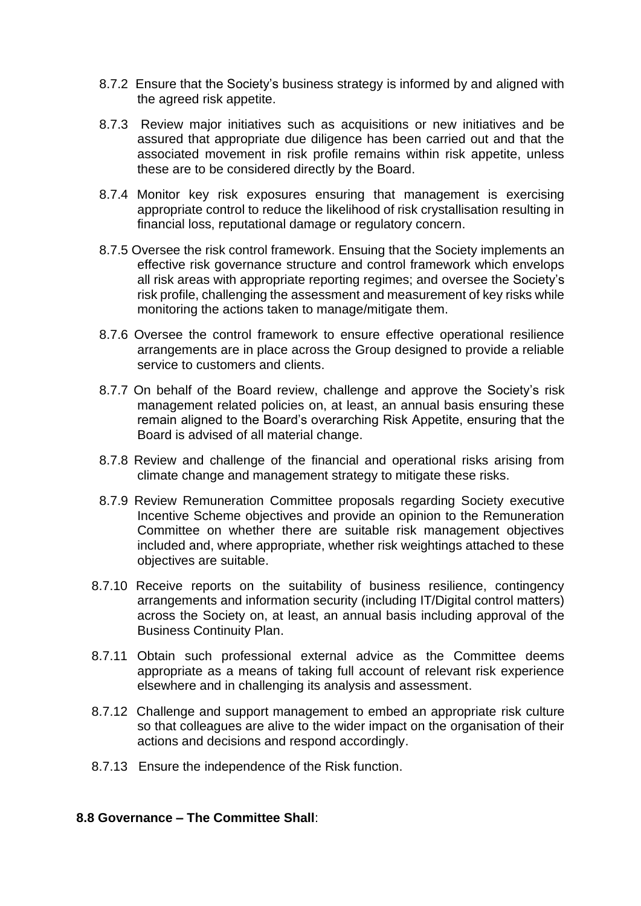- 8.7.2 Ensure that the Society's business strategy is informed by and aligned with the agreed risk appetite.
- 8.7.3 Review major initiatives such as acquisitions or new initiatives and be assured that appropriate due diligence has been carried out and that the associated movement in risk profile remains within risk appetite, unless these are to be considered directly by the Board.
- 8.7.4 Monitor key risk exposures ensuring that management is exercising appropriate control to reduce the likelihood of risk crystallisation resulting in financial loss, reputational damage or regulatory concern.
- 8.7.5 Oversee the risk control framework. Ensuing that the Society implements an effective risk governance structure and control framework which envelops all risk areas with appropriate reporting regimes; and oversee the Society's risk profile, challenging the assessment and measurement of key risks while monitoring the actions taken to manage/mitigate them.
- 8.7.6 Oversee the control framework to ensure effective operational resilience arrangements are in place across the Group designed to provide a reliable service to customers and clients.
- 8.7.7 On behalf of the Board review, challenge and approve the Society's risk management related policies on, at least, an annual basis ensuring these remain aligned to the Board's overarching Risk Appetite, ensuring that the Board is advised of all material change.
- 8.7.8 Review and challenge of the financial and operational risks arising from climate change and management strategy to mitigate these risks.
- 8.7.9 Review Remuneration Committee proposals regarding Society executive Incentive Scheme objectives and provide an opinion to the Remuneration Committee on whether there are suitable risk management objectives included and, where appropriate, whether risk weightings attached to these objectives are suitable.
- 8.7.10 Receive reports on the suitability of business resilience, contingency arrangements and information security (including IT/Digital control matters) across the Society on, at least, an annual basis including approval of the Business Continuity Plan.
- 8.7.11 Obtain such professional external advice as the Committee deems appropriate as a means of taking full account of relevant risk experience elsewhere and in challenging its analysis and assessment.
- 8.7.12 Challenge and support management to embed an appropriate risk culture so that colleagues are alive to the wider impact on the organisation of their actions and decisions and respond accordingly.
- 8.7.13 Ensure the independence of the Risk function.

#### **8.8 Governance – The Committee Shall**: